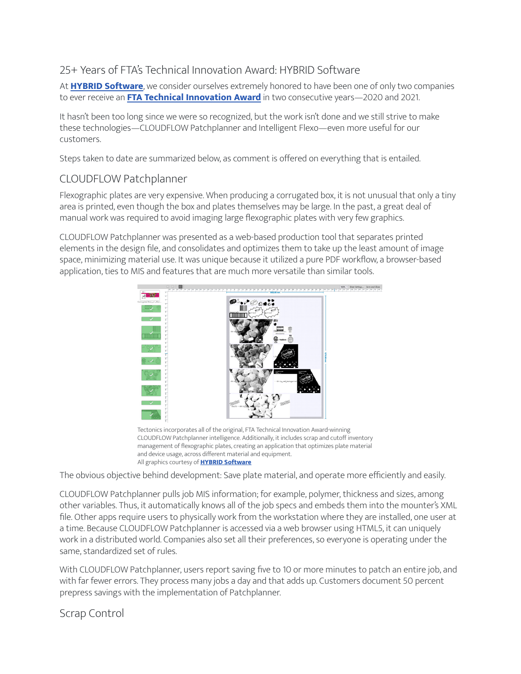# 25+ Years of FTA's Technical Innovation Award: HYBRID Software

At HYBRID Software, we consider ourselves extremely honored to have been one of only two companies to ever receive an **FTA Technical Innovation Award** in two consecutive years-2020 and 2021.

It hasn't been too long since we were so recognized, but the work isn't done and we still strive to make these technologies-CLOUDFLOW Patchplanner and Intelligent Flexo-even more useful for our customers.

Steps taken to date are summarized below, as comment is offered on everything that is entailed.

# CLOUDFLOW Patchplanner

Flexographic plates are very expensive. When producing a corrugated box, it is not unusual that only a tiny area is printed, even though the box and plates themselves may be large. In the past, a great deal of manual work was required to avoid imaging large flexographic plates with very few graphics.

CLOUDFLOW Patchplanner was presented as a web-based production tool that separates printed elements in the design file, and consolidates and optimizes them to take up the least amount of image space, minimizing material use. It was unique because it utilized a pure PDF workflow, a browser-based application, ties to MIS and features that are much more versatile than similar tools.



Tectonics incorporates all of the original, FTA Technical Innovation Award-winning CLOUDFLOW Patchplanner intelligence. Additionally, it includes scrap and cutoff inventory management of flexographic plates, creating an application that optimizes plate material and device usage, across different material and equipment. All graphics courtesy of **HYBRID Software** 

The obvious objective behind development: Save plate material, and operate more efficiently and easily.

CLOUDFLOW Patchplanner pulls job MIS information; for example, polymer, thickness and sizes, among other variables. Thus, it automatically knows all of the job specs and embeds them into the mounter's XML file. Other apps require users to physically work from the workstation where they are installed, one user at a time. Because CLOUDFLOW Patchplanner is accessed via a web browser using HTML5, it can uniquely work in a distributed world. Companies also set all their preferences, so everyone is operating under the same, standardized set of rules.

With CLOUDFLOW Patchplanner, users report saving five to 10 or more minutes to patch an entire job, and with far fewer errors. They process many jobs a day and that adds up. Customers document 50 percent prepress savings with the implementation of Patchplanner.

Scrap Control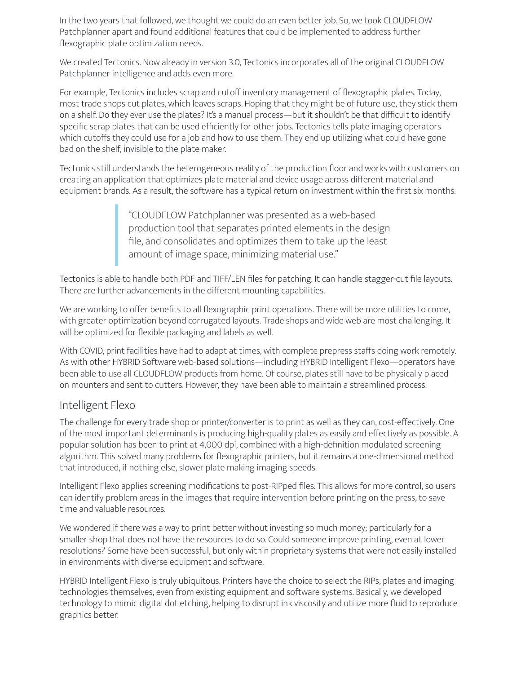In the two years that followed, we thought we could do an even better job. So, we took CLOUDFLOW Patchplanner apart and found additional features that could be implemented to address further flexographic plate optimization needs.

We created Tectonics. Now already in version 3.0, Tectonics incorporates all of the original CLOUDFLOW Patchplanner intelligence and adds even more.

For example, Tectonics includes scrap and cutoff inventory management of flexographic plates. Today, most trade shops cut plates, which leaves scraps. Hoping that they might be of future use, they stick them on a shelf. Do they ever use the plates? It's a manual process—but it shouldn't be that difficult to identify specific scrap plates that can be used efficiently for other jobs. Tectonics tells plate imaging operators which cutoffs they could use for a job and how to use them. They end up utilizing what could have gone bad on the shelf, invisible to the plate maker.

Tectonics still understands the heterogeneous reality of the production floor and works with customers on creating an application that optimizes plate material and device usage across different material and equipment brands. As a result, the software has a typical return on investment within the first six months.

> "CLOUDFLOW Patchplanner was presented as a web-based production tool that separates printed elements in the design file, and consolidates and optimizes them to take up the least amount of image space, minimizing material use."

Tectonics is able to handle both PDF and TIFF/LEN files for patching. It can handle stagger-cut file layouts. There are further advancements in the different mounting capabilities.

We are working to offer benefits to all flexographic print operations. There will be more utilities to come, with greater optimization beyond corrugated layouts. Trade shops and wide web are most challenging. It will be optimized for flexible packaging and labels as well.

With COVID, print facilities have had to adapt at times, with complete prepress staffs doing work remotely. As with other HYBRID Software web-based solutions—including HYBRID Intelligent Flexo—operators have been able to use all CLOUDFLOW products from home. Of course, plates still have to be physically placed on mounters and sent to cutters. However, they have been able to maintain a streamlined process.

### Intelligent Flexo

The challenge for every trade shop or printer/converter is to print as well as they can, cost-effectively. One of the most important determinants is producing high-quality plates as easily and effectively as possible. A popular solution has been to print at 4,000 dpi, combined with a high-definition modulated screening algorithm. This solved many problems for flexographic printers, but it remains a one-dimensional method that introduced, if nothing else, slower plate making imaging speeds.

Intelligent Flexo applies screening modifications to post-RIPped files. This allows for more control, so users can identify problem areas in the images that require intervention before printing on the press, to save time and valuable resources.

We wondered if there was a way to print better without investing so much money; particularly for a smaller shop that does not have the resources to do so. Could someone improve printing, even at lower resolutions? Some have been successful, but only within proprietary systems that were not easily installed in environments with diverse equipment and software.

HYBRID Intelligent Flexo is truly ubiquitous. Printers have the choice to select the RIPs, plates and imaging technologies themselves, even from existing equipment and software systems. Basically, we developed technology to mimic digital dot etching, helping to disrupt ink viscosity and utilize more fluid to reproduce graphics better.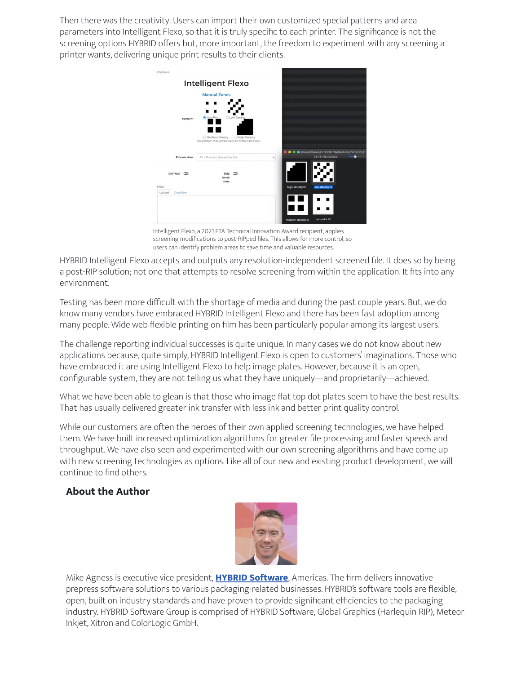Then there was the creativity: Users can import their own customized special patterns and area parameters into Intelligent Flexo, so that it is truly specific to each printer. The significance is not the screening options HYBRID offers but, more important, the freedom to experiment with any screening a printer wants, delivering unique print results to their clients.



Intelligent Flexo, a 2021 FTA Technical Innovation Award recipient, applies screening modifications to post-RIPped files. This allows for more control, so users can identify problem areas to save time and valuable resources.

HYBRID Intelligent Flexo accepts and outputs any resolution-independent screened file. It does so by being a post-RIP solution; not one that attempts to resolve screening from within the application. It fits into any environment.

Testing has been more difficult with the shortage of media and during the past couple years. But, we do know many vendors have embraced HYBRID Intelligent Flexo and there has been fast adoption among many people. Wide web flexible printing on film has been particularly popular among its largest users.

The challenge reporting individual successes is quite unique. In many cases we do not know about new applications because, quite simply, HYBRID Intelligent Flexo is open to customers' imaginations. Those who have embraced it are using Intelligent Flexo to help image plates. However, because it is an open, configurable system, they are not telling us what they have uniquely—and proprietarily—achieved.

What we have been able to glean is that those who image flat top dot plates seem to have the best results. That has usually delivered greater ink transfer with less ink and better print quality control.

While our customers are often the heroes of their own applied screening technologies, we have helped them. We have built increased optimization algorithms for greater file processing and faster speeds and throughput. We have also seen and experimented with our own screening algorithms and have come up with new screening technologies as options. Like all of our new and existing product development, we will continue to find others.

### **About the Author**



Mike Agness is executive vice president, **HYBRID Software**, Americas. The firm delivers innovative prepress software solutions to various packaging-related businesses. HYBRID's software tools are flexible, open, built on industry standards and have proven to provide significant efficiencies to the packaging industry. HYBRID Software Group is comprised of HYBRID Software, Global Graphics (Harlequin RIP), Meteor Inkjet, Xitron and ColorLogic GmbH.